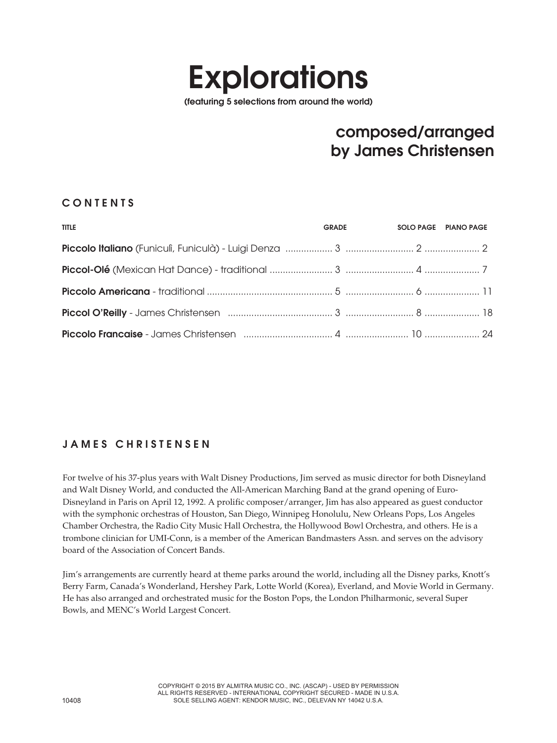# **Explorations**

(featuring 5 selections from around the world)

# composed/arranged by James Christensen

#### **CONTENTS**

| <b>TITLE</b> | <b>GRADE</b> | SOLO PAGE PIANO PAGE |
|--------------|--------------|----------------------|
|              |              |                      |
|              |              |                      |
|              |              |                      |
|              |              |                      |
|              |              |                      |

### JAMES CHRISTENSEN

For twelve of his 37-plus years with Walt Disney Productions, Jim served as music director for both Disneyland and Walt Disney World, and conducted the All-American Marching Band at the grand opening of Euro-Disneyland in Paris on April 12, 1992. A prolific composer/arranger, Jim has also appeared as guest conductor with the symphonic orchestras of Houston, San Diego, Winnipeg Honolulu, New Orleans Pops, Los Angeles Chamber Orchestra, the Radio City Music Hall Orchestra, the Hollywood Bowl Orchestra, and others. He is a trombone clinician for UMI-Conn, is a member of the American Bandmasters Assn. and serves on the advisory board of the Association of Concert Bands.

Jim's arrangements are currently heard at theme parks around the world, including all the Disney parks, Knott's Berry Farm, Canada's Wonderland, Hershey Park, Lotte World (Korea), Everland, and Movie World in Germany. He has also arranged and orchestrated music for the Boston Pops, the London Philharmonic, several Super Bowls, and MENC's World Largest Concert.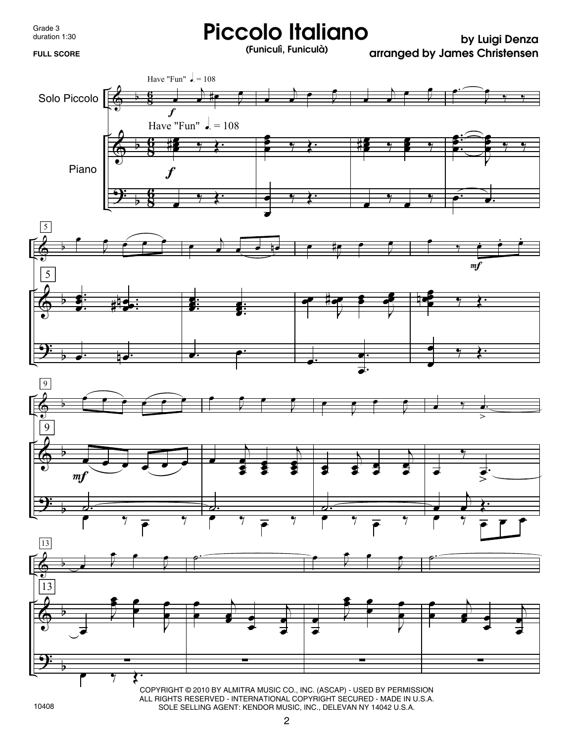Grade 3 duration 1:30

## **Piccolo Italiano by Luigi Denza FULL SCORE (Funiculì, Funiculà)**

 **arranged by James Christensen**



COPYRIGHT © 2010 BY ALMITRA MUSIC CO., INC. (ASCAP) - USED BY PERMISSION ALL RIGHTS RESERVED - INTERNATIONAL COPYRIGHT SECURED - MADE IN U.S.A. SOLE SELLING AGENT: KENDOR MUSIC, INC., DELEVAN NY 14042 U.S.A.